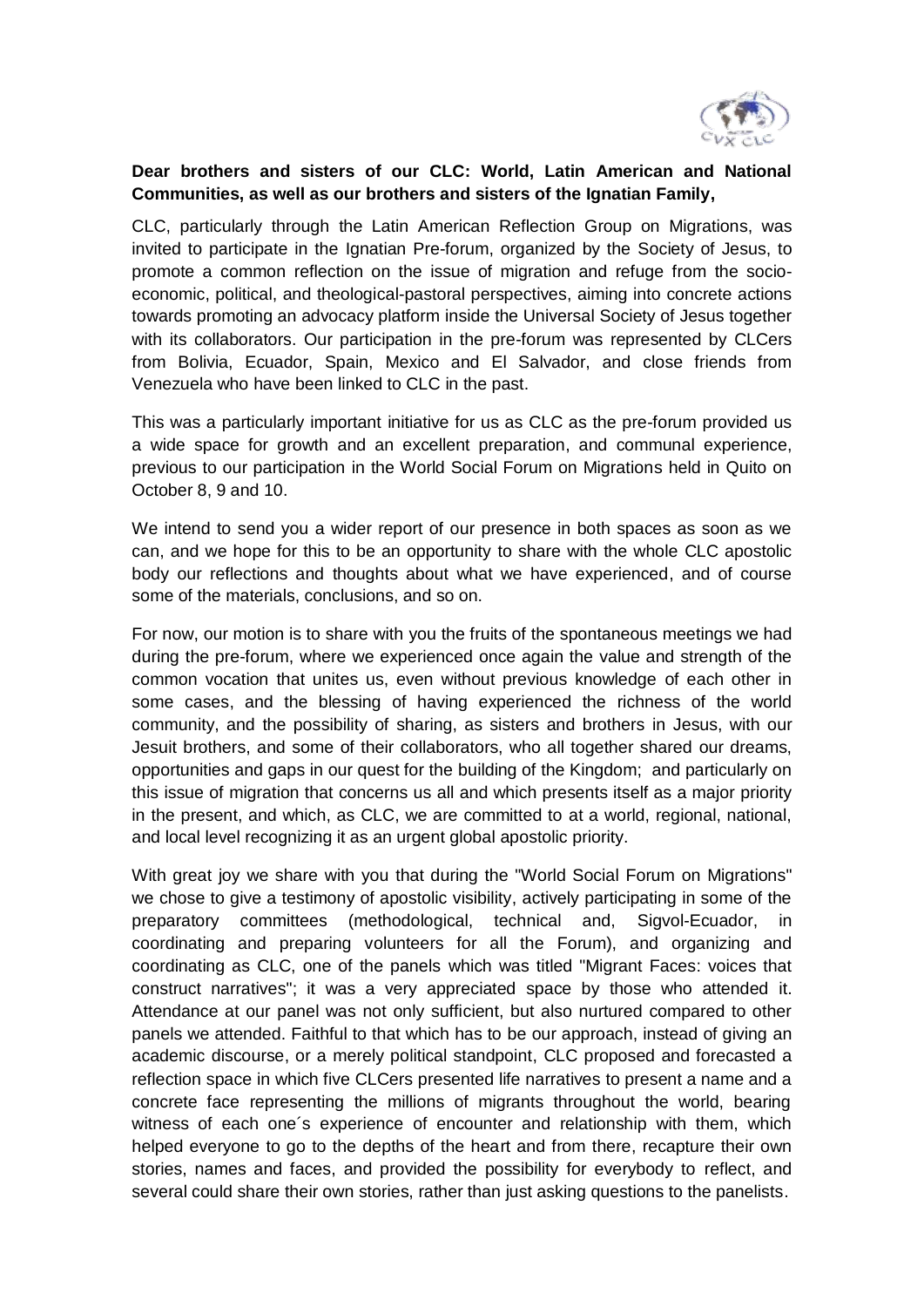

## **Dear brothers and sisters of our CLC: World, Latin American and National Communities, as well as our brothers and sisters of the Ignatian Family,**

CLC, particularly through the Latin American Reflection Group on Migrations, was invited to participate in the Ignatian Pre-forum, organized by the Society of Jesus, to promote a common reflection on the issue of migration and refuge from the socioeconomic, political, and theological-pastoral perspectives, aiming into concrete actions towards promoting an advocacy platform inside the Universal Society of Jesus together with its collaborators. Our participation in the pre-forum was represented by CLCers from Bolivia, Ecuador, Spain, Mexico and El Salvador, and close friends from Venezuela who have been linked to CLC in the past.

This was a particularly important initiative for us as CLC as the pre-forum provided us a wide space for growth and an excellent preparation, and communal experience, previous to our participation in the World Social Forum on Migrations held in Quito on October 8, 9 and 10.

We intend to send you a wider report of our presence in both spaces as soon as we can, and we hope for this to be an opportunity to share with the whole CLC apostolic body our reflections and thoughts about what we have experienced, and of course some of the materials, conclusions, and so on.

For now, our motion is to share with you the fruits of the spontaneous meetings we had during the pre-forum, where we experienced once again the value and strength of the common vocation that unites us, even without previous knowledge of each other in some cases, and the blessing of having experienced the richness of the world community, and the possibility of sharing, as sisters and brothers in Jesus, with our Jesuit brothers, and some of their collaborators, who all together shared our dreams, opportunities and gaps in our quest for the building of the Kingdom; and particularly on this issue of migration that concerns us all and which presents itself as a major priority in the present, and which, as CLC, we are committed to at a world, regional, national, and local level recognizing it as an urgent global apostolic priority.

With great joy we share with you that during the "World Social Forum on Migrations" we chose to give a testimony of apostolic visibility, actively participating in some of the preparatory committees (methodological, technical and, Sigvol-Ecuador, in coordinating and preparing volunteers for all the Forum), and organizing and coordinating as CLC, one of the panels which was titled "Migrant Faces: voices that construct narratives"; it was a very appreciated space by those who attended it. Attendance at our panel was not only sufficient, but also nurtured compared to other panels we attended. Faithful to that which has to be our approach, instead of giving an academic discourse, or a merely political standpoint, CLC proposed and forecasted a reflection space in which five CLCers presented life narratives to present a name and a concrete face representing the millions of migrants throughout the world, bearing witness of each one´s experience of encounter and relationship with them, which helped everyone to go to the depths of the heart and from there, recapture their own stories, names and faces, and provided the possibility for everybody to reflect, and several could share their own stories, rather than just asking questions to the panelists.